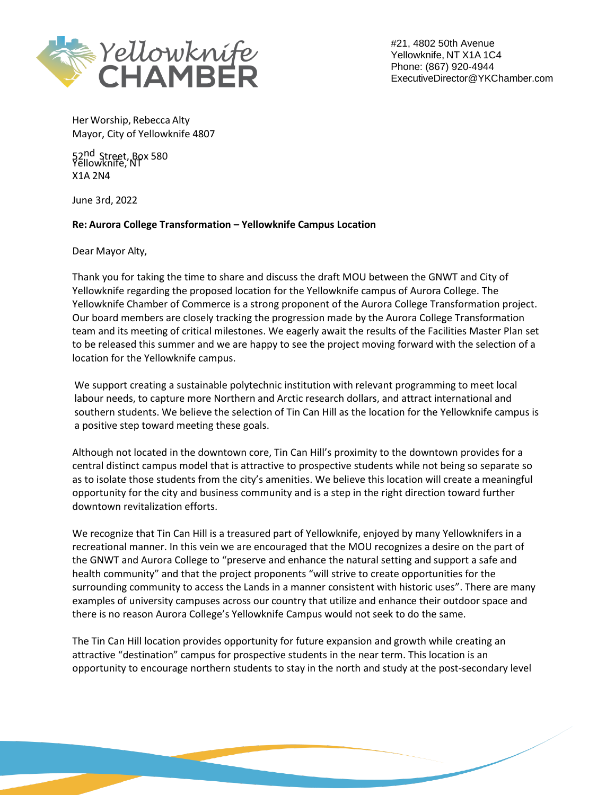

#21, 4802 50th Avenue Yellowknife, NT X1A 1C4 Phone: (867) 920-4944 [ExecutiveDirector@YKChamber.com](mailto:ExecutiveDirector@YKChamber.com)

Her Worship, Rebecca Alty Mayor, City of Yellowknife 4807

52<sup>nd</sup> Street, Box 580<br>Yellowknife, NT X1A 2N4

June 3rd, 2022

## **Re: Aurora College Transformation – Yellowknife Campus Location**

Dear Mayor Alty,

Thank you for taking the time to share and discuss the draft MOU between the GNWT and City of Yellowknife regarding the proposed location for the Yellowknife campus of Aurora College. The Yellowknife Chamber of Commerce is a strong proponent of the Aurora College Transformation project. Our board members are closely tracking the progression made by the Aurora College Transformation team and its meeting of critical milestones. We eagerly await the results of the Facilities Master Plan set to be released this summer and we are happy to see the project moving forward with the selection of a location for the Yellowknife campus.

We support creating a sustainable polytechnic institution with relevant programming to meet local labour needs, to capture more Northern and Arctic research dollars, and attract international and southern students. We believe the selection of Tin Can Hill as the location for the Yellowknife campus is a positive step toward meeting these goals.

Although not located in the downtown core, Tin Can Hill's proximity to the downtown provides for a central distinct campus model that is attractive to prospective students while not being so separate so as to isolate those students from the city's amenities. We believe this location will create a meaningful opportunity for the city and business community and is a step in the right direction toward further downtown revitalization efforts.

We recognize that Tin Can Hill is a treasured part of Yellowknife, enjoyed by many Yellowknifers in a recreational manner. In this vein we are encouraged that the MOU recognizes a desire on the part of the GNWT and Aurora College to "preserve and enhance the natural setting and support a safe and health community" and that the project proponents "will strive to create opportunities for the surrounding community to access the Lands in a manner consistent with historic uses". There are many examples of university campuses across our country that utilize and enhance their outdoor space and there is no reason Aurora College's Yellowknife Campus would not seek to do the same.

The Tin Can Hill location provides opportunity for future expansion and growth while creating an attractive "destination" campus for prospective students in the near term. This location is an opportunity to encourage northern students to stay in the north and study at the post-secondary level